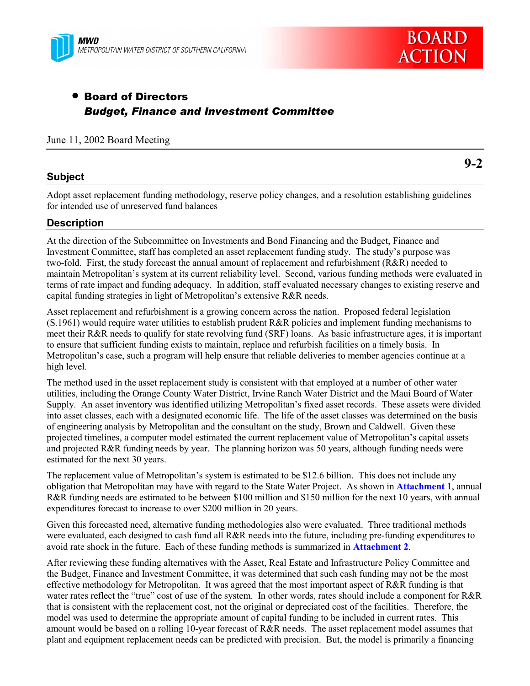



# • Board of Directors *Budget, Finance and Investment Committee*

June 11, 2002 Board Meeting

# **Subject**

**9-2**

Adopt asset replacement funding methodology, reserve policy changes, and a resolution establishing guidelines for intended use of unreserved fund balances

# **Description**

At the direction of the Subcommittee on Investments and Bond Financing and the Budget, Finance and Investment Committee, staff has completed an asset replacement funding study. The study's purpose was two-fold. First, the study forecast the annual amount of replacement and refurbishment (R&R) needed to maintain Metropolitanís system at its current reliability level. Second, various funding methods were evaluated in terms of rate impact and funding adequacy. In addition, staff evaluated necessary changes to existing reserve and capital funding strategies in light of Metropolitan's extensive R&R needs.

Asset replacement and refurbishment is a growing concern across the nation. Proposed federal legislation (S.1961) would require water utilities to establish prudent R&R policies and implement funding mechanisms to meet their R&R needs to qualify for state revolving fund (SRF) loans. As basic infrastructure ages, it is important to ensure that sufficient funding exists to maintain, replace and refurbish facilities on a timely basis. In Metropolitanís case, such a program will help ensure that reliable deliveries to member agencies continue at a high level.

The method used in the asset replacement study is consistent with that employed at a number of other water utilities, including the Orange County Water District, Irvine Ranch Water District and the Maui Board of Water Supply. An asset inventory was identified utilizing Metropolitan's fixed asset records. These assets were divided into asset classes, each with a designated economic life. The life of the asset classes was determined on the basis of engineering analysis by Metropolitan and the consultant on the study, Brown and Caldwell. Given these projected timelines, a computer model estimated the current replacement value of Metropolitanís capital assets and projected R&R funding needs by year. The planning horizon was 50 years, although funding needs were estimated for the next 30 years.

The replacement value of Metropolitan's system is estimated to be \$12.6 billion. This does not include any obligation that Metropolitan may have with regard to the State Water Project. As shown in **Attachment 1**, annual R&R funding needs are estimated to be between \$100 million and \$150 million for the next 10 years, with annual expenditures forecast to increase to over \$200 million in 20 years.

Given this forecasted need, alternative funding methodologies also were evaluated. Three traditional methods were evaluated, each designed to cash fund all R&R needs into the future, including pre-funding expenditures to avoid rate shock in the future. Each of these funding methods is summarized in **Attachment 2**.

After reviewing these funding alternatives with the Asset, Real Estate and Infrastructure Policy Committee and the Budget, Finance and Investment Committee, it was determined that such cash funding may not be the most effective methodology for Metropolitan. It was agreed that the most important aspect of R&R funding is that water rates reflect the "true" cost of use of the system. In other words, rates should include a component for R&R that is consistent with the replacement cost, not the original or depreciated cost of the facilities. Therefore, the model was used to determine the appropriate amount of capital funding to be included in current rates. This amount would be based on a rolling 10-year forecast of R&R needs. The asset replacement model assumes that plant and equipment replacement needs can be predicted with precision. But, the model is primarily a financing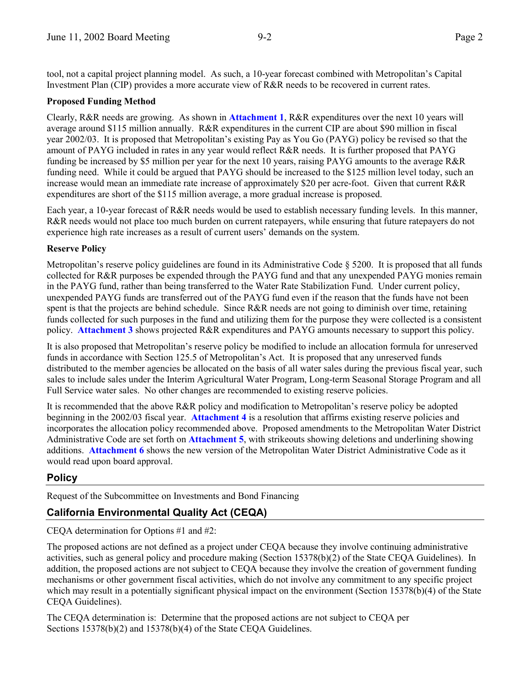tool, not a capital project planning model. As such, a 10-year forecast combined with Metropolitanís Capital Investment Plan (CIP) provides a more accurate view of R&R needs to be recovered in current rates.

#### **Proposed Funding Method**

Clearly, R&R needs are growing. As shown in **Attachment 1**, R&R expenditures over the next 10 years will average around \$115 million annually. R&R expenditures in the current CIP are about \$90 million in fiscal year 2002/03. It is proposed that Metropolitan's existing Pay as You Go (PAYG) policy be revised so that the amount of PAYG included in rates in any year would reflect R&R needs. It is further proposed that PAYG funding be increased by \$5 million per year for the next 10 years, raising PAYG amounts to the average R&R funding need. While it could be argued that PAYG should be increased to the \$125 million level today, such an increase would mean an immediate rate increase of approximately \$20 per acre-foot. Given that current R&R expenditures are short of the \$115 million average, a more gradual increase is proposed.

Each year, a 10-year forecast of R&R needs would be used to establish necessary funding levels. In this manner, R&R needs would not place too much burden on current ratepayers, while ensuring that future ratepayers do not experience high rate increases as a result of current users' demands on the system.

#### **Reserve Policy**

Metropolitan's reserve policy guidelines are found in its Administrative Code  $\S$  5200. It is proposed that all funds collected for R&R purposes be expended through the PAYG fund and that any unexpended PAYG monies remain in the PAYG fund, rather than being transferred to the Water Rate Stabilization Fund. Under current policy, unexpended PAYG funds are transferred out of the PAYG fund even if the reason that the funds have not been spent is that the projects are behind schedule. Since R&R needs are not going to diminish over time, retaining funds collected for such purposes in the fund and utilizing them for the purpose they were collected is a consistent policy. **Attachment 3** shows projected R&R expenditures and PAYG amounts necessary to support this policy.

It is also proposed that Metropolitanís reserve policy be modified to include an allocation formula for unreserved funds in accordance with Section 125.5 of Metropolitan's Act. It is proposed that any unreserved funds distributed to the member agencies be allocated on the basis of all water sales during the previous fiscal year, such sales to include sales under the Interim Agricultural Water Program, Long-term Seasonal Storage Program and all Full Service water sales. No other changes are recommended to existing reserve policies.

It is recommended that the above R&R policy and modification to Metropolitan's reserve policy be adopted beginning in the 2002/03 fiscal year. **Attachment 4** is a resolution that affirms existing reserve policies and incorporates the allocation policy recommended above. Proposed amendments to the Metropolitan Water District Administrative Code are set forth on **Attachment 5**, with strikeouts showing deletions and underlining showing additions. **Attachment 6** shows the new version of the Metropolitan Water District Administrative Code as it would read upon board approval.

# **Policy**

Request of the Subcommittee on Investments and Bond Financing

# **California Environmental Quality Act (CEQA)**

CEQA determination for Options #1 and #2:

The proposed actions are not defined as a project under CEQA because they involve continuing administrative activities, such as general policy and procedure making (Section 15378(b)(2) of the State CEQA Guidelines). In addition, the proposed actions are not subject to CEQA because they involve the creation of government funding mechanisms or other government fiscal activities, which do not involve any commitment to any specific project which may result in a potentially significant physical impact on the environment (Section 15378(b)(4) of the State CEQA Guidelines).

The CEQA determination is: Determine that the proposed actions are not subject to CEQA per Sections 15378(b)(2) and 15378(b)(4) of the State CEQA Guidelines.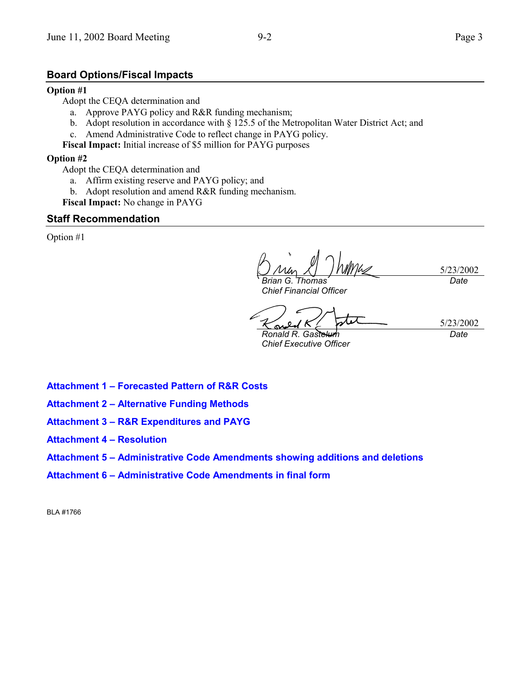#### **Board Options/Fiscal Impacts**

#### **Option #1**

Adopt the CEQA determination and

- a. Approve PAYG policy and R&R funding mechanism;
- b. Adopt resolution in accordance with  $\S$  125.5 of the Metropolitan Water District Act; and
- c. Amend Administrative Code to reflect change in PAYG policy.

**Fiscal Impact:** Initial increase of \$5 million for PAYG purposes

#### **Option #2**

- Adopt the CEQA determination and
	- a. Affirm existing reserve and PAYG policy; and
	- b. Adopt resolution and amend R&R funding mechanism.
- **Fiscal Impact:** No change in PAYG

#### **Staff Recommendation**

Option #1

5/23/2002 *Brian G. Thomas Date*

*Chief Financial Officer*

<u>یم</u> *Ronald R. Gastelum*

5/23/2002 *Date*

*Chief Executive Officer*

- **Attachment 1 Forecasted Pattern of R&R Costs**
- **Attachment 2 Alternative Funding Methods**
- **Attachment 3 R&R Expenditures and PAYG**
- **Attachment 4 Resolution**
- **Attachment 5 Administrative Code Amendments showing additions and deletions**
- Attachment 6 Administrative Code Amendments in final form

BLA #1766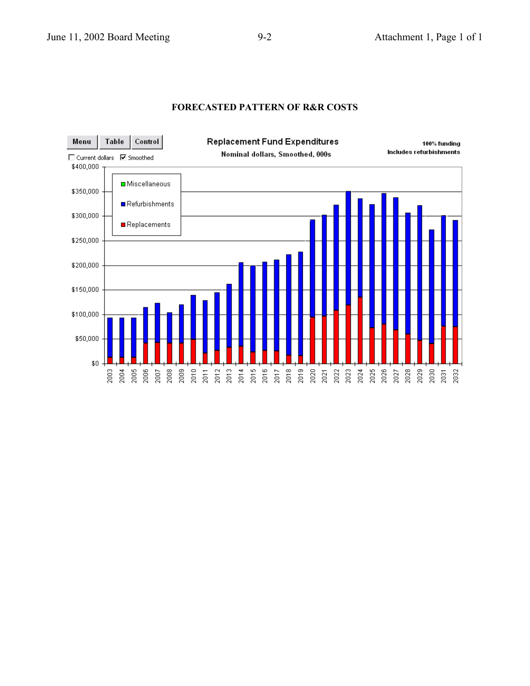# **FORECASTED PATTERN OF R&R COSTS**

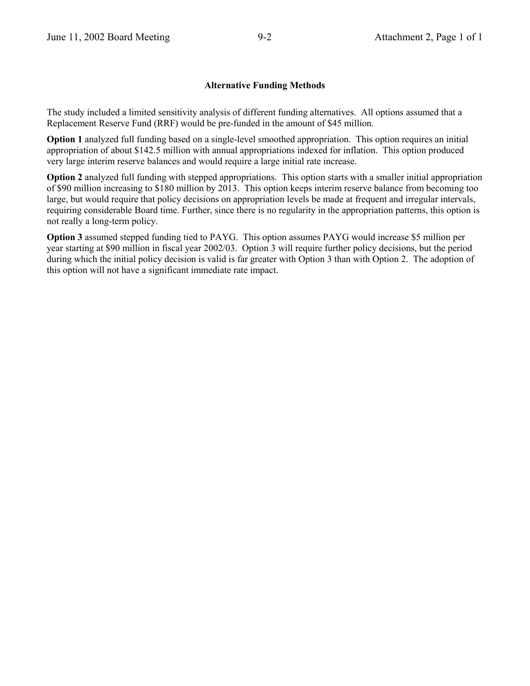#### **Alternative Funding Methods**

The study included a limited sensitivity analysis of different funding alternatives. All options assumed that a Replacement Reserve Fund (RRF) would be pre-funded in the amount of \$45 million.

**Option 1** analyzed full funding based on a single-level smoothed appropriation. This option requires an initial appropriation of about \$142.5 million with annual appropriations indexed for inflation. This option produced very large interim reserve balances and would require a large initial rate increase.

**Option 2** analyzed full funding with stepped appropriations. This option starts with a smaller initial appropriation of \$90 million increasing to \$180 million by 2013. This option keeps interim reserve balance from becoming too large, but would require that policy decisions on appropriation levels be made at frequent and irregular intervals, requiring considerable Board time. Further, since there is no regularity in the appropriation patterns, this option is not really a long-term policy.

**Option 3** assumed stepped funding tied to PAYG. This option assumes PAYG would increase \$5 million per year starting at \$90 million in fiscal year 2002/03. Option 3 will require further policy decisions, but the period during which the initial policy decision is valid is far greater with Option 3 than with Option 2. The adoption of this option will not have a significant immediate rate impact.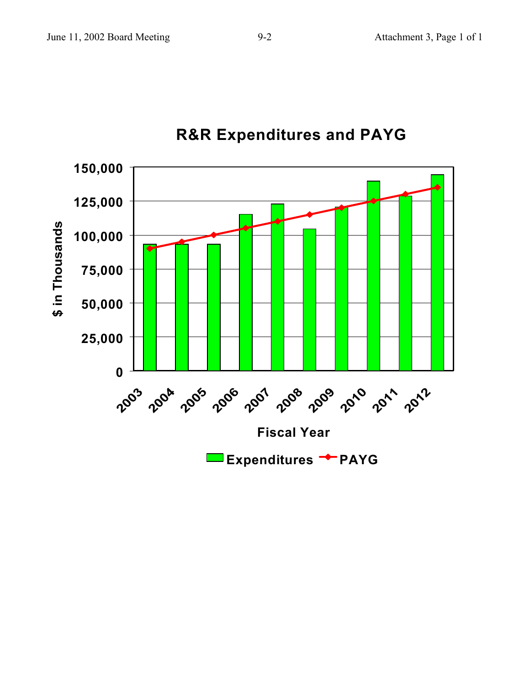

# **R&R Expenditures and PAYG**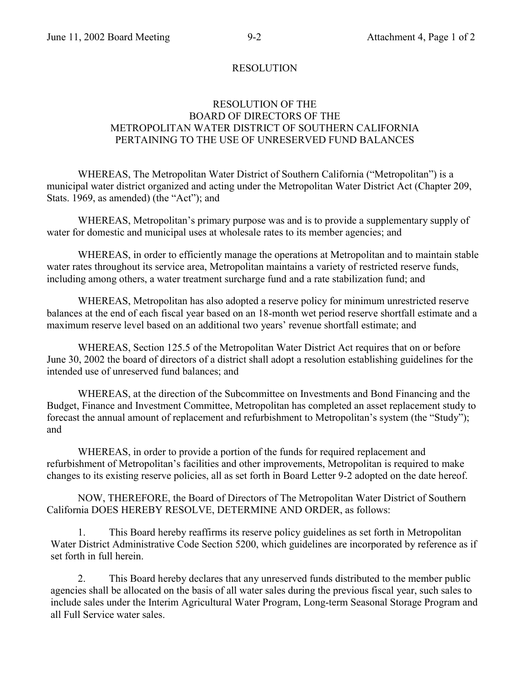# RESOLUTION

# RESOLUTION OF THE BOARD OF DIRECTORS OF THE METROPOLITAN WATER DISTRICT OF SOUTHERN CALIFORNIA PERTAINING TO THE USE OF UNRESERVED FUND BALANCES

WHEREAS, The Metropolitan Water District of Southern California ("Metropolitan") is a municipal water district organized and acting under the Metropolitan Water District Act (Chapter 209, Stats. 1969, as amended) (the "Act"); and

WHEREAS, Metropolitan's primary purpose was and is to provide a supplementary supply of water for domestic and municipal uses at wholesale rates to its member agencies; and

WHEREAS, in order to efficiently manage the operations at Metropolitan and to maintain stable water rates throughout its service area, Metropolitan maintains a variety of restricted reserve funds, including among others, a water treatment surcharge fund and a rate stabilization fund; and

WHEREAS, Metropolitan has also adopted a reserve policy for minimum unrestricted reserve balances at the end of each fiscal year based on an 18-month wet period reserve shortfall estimate and a maximum reserve level based on an additional two years' revenue shortfall estimate; and

WHEREAS, Section 125.5 of the Metropolitan Water District Act requires that on or before June 30, 2002 the board of directors of a district shall adopt a resolution establishing guidelines for the intended use of unreserved fund balances; and

WHEREAS, at the direction of the Subcommittee on Investments and Bond Financing and the Budget, Finance and Investment Committee, Metropolitan has completed an asset replacement study to forecast the annual amount of replacement and refurbishment to Metropolitan's system (the "Study"); and

WHEREAS, in order to provide a portion of the funds for required replacement and refurbishment of Metropolitan's facilities and other improvements, Metropolitan is required to make changes to its existing reserve policies, all as set forth in Board Letter 9-2 adopted on the date hereof.

NOW, THEREFORE, the Board of Directors of The Metropolitan Water District of Southern California DOES HEREBY RESOLVE, DETERMINE AND ORDER, as follows:

1. This Board hereby reaffirms its reserve policy guidelines as set forth in Metropolitan Water District Administrative Code Section 5200, which guidelines are incorporated by reference as if set forth in full herein.

2. This Board hereby declares that any unreserved funds distributed to the member public agencies shall be allocated on the basis of all water sales during the previous fiscal year, such sales to include sales under the Interim Agricultural Water Program, Long-term Seasonal Storage Program and all Full Service water sales.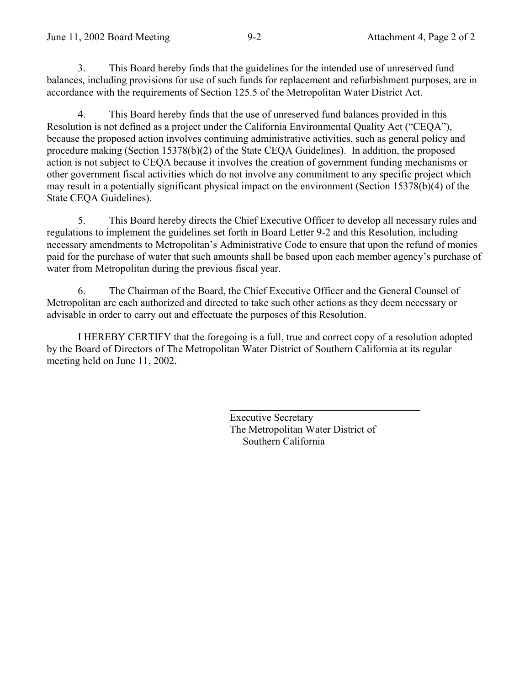3. This Board hereby finds that the guidelines for the intended use of unreserved fund balances, including provisions for use of such funds for replacement and refurbishment purposes, are in accordance with the requirements of Section 125.5 of the Metropolitan Water District Act.

4. This Board hereby finds that the use of unreserved fund balances provided in this Resolution is not defined as a project under the California Environmental Quality Act ("CEQA"), because the proposed action involves continuing administrative activities, such as general policy and procedure making (Section 15378(b)(2) of the State CEQA Guidelines). In addition, the proposed action is not subject to CEQA because it involves the creation of government funding mechanisms or other government fiscal activities which do not involve any commitment to any specific project which may result in a potentially significant physical impact on the environment (Section 15378(b)(4) of the State CEQA Guidelines).

5. This Board hereby directs the Chief Executive Officer to develop all necessary rules and regulations to implement the guidelines set forth in Board Letter 9-2 and this Resolution, including necessary amendments to Metropolitan's Administrative Code to ensure that upon the refund of monies paid for the purchase of water that such amounts shall be based upon each member agencyís purchase of water from Metropolitan during the previous fiscal year.

6. The Chairman of the Board, the Chief Executive Officer and the General Counsel of Metropolitan are each authorized and directed to take such other actions as they deem necessary or advisable in order to carry out and effectuate the purposes of this Resolution.

I HEREBY CERTIFY that the foregoing is a full, true and correct copy of a resolution adopted by the Board of Directors of The Metropolitan Water District of Southern California at its regular meeting held on June 11, 2002.

 $\overline{a}$ 

Executive Secretary The Metropolitan Water District of Southern California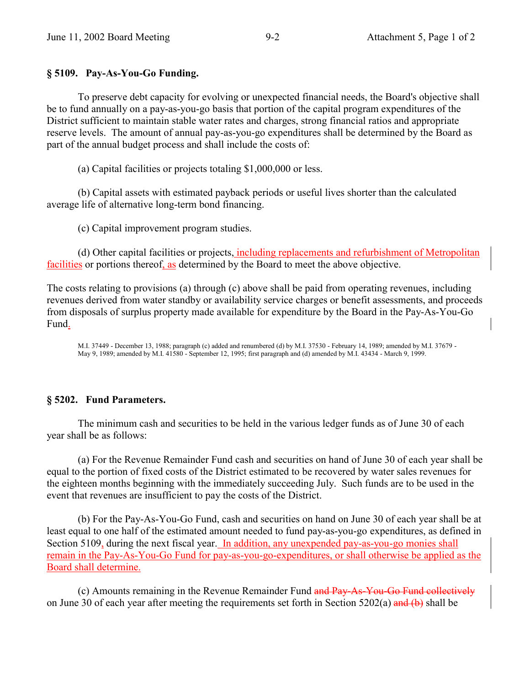# **§ 5109. Pay-As-You-Go Funding.**

To preserve debt capacity for evolving or unexpected financial needs, the Board's objective shall be to fund annually on a pay-as-you-go basis that portion of the capital program expenditures of the District sufficient to maintain stable water rates and charges, strong financial ratios and appropriate reserve levels. The amount of annual pay-as-you-go expenditures shall be determined by the Board as part of the annual budget process and shall include the costs of:

(a) Capital facilities or projects totaling \$1,000,000 or less.

(b) Capital assets with estimated payback periods or useful lives shorter than the calculated average life of alternative long-term bond financing.

(c) Capital improvement program studies.

(d) Other capital facilities or projects, including replacements and refurbishment of Metropolitan facilities or portions thereof, as determined by the Board to meet the above objective.

The costs relating to provisions (a) through (c) above shall be paid from operating revenues, including revenues derived from water standby or availability service charges or benefit assessments, and proceeds from disposals of surplus property made available for expenditure by the Board in the Pay-As-You-Go Fund.

M.I. 37449 - December 13, 1988; paragraph (c) added and renumbered (d) by M.I. 37530 - February 14, 1989; amended by M.I. 37679 - May 9, 1989; amended by M.I. 41580 - September 12, 1995; first paragraph and (d) amended by M.I. 43434 - March 9, 1999.

# **§ 5202. Fund Parameters.**

The minimum cash and securities to be held in the various ledger funds as of June 30 of each year shall be as follows:

(a) For the Revenue Remainder Fund cash and securities on hand of June 30 of each year shall be equal to the portion of fixed costs of the District estimated to be recovered by water sales revenues for the eighteen months beginning with the immediately succeeding July. Such funds are to be used in the event that revenues are insufficient to pay the costs of the District.

(b) For the Pay-As-You-Go Fund, cash and securities on hand on June 30 of each year shall be at least equal to one half of the estimated amount needed to fund pay-as-you-go expenditures, as defined in Section 5109, during the next fiscal year. In addition, any unexpended pay-as-you-go monies shall remain in the Pay-As-You-Go Fund for pay-as-you-go-expenditures, or shall otherwise be applied as the Board shall determine.

(c) Amounts remaining in the Revenue Remainder Fund and Pay-As-You-Go Fund collectively on June 30 of each year after meeting the requirements set forth in Section 5202(a) and (b) shall be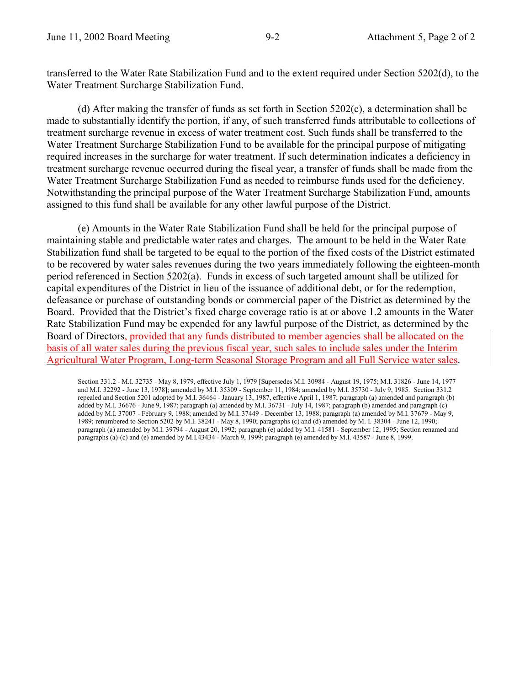transferred to the Water Rate Stabilization Fund and to the extent required under Section 5202(d), to the Water Treatment Surcharge Stabilization Fund.

(d) After making the transfer of funds as set forth in Section 5202(c), a determination shall be made to substantially identify the portion, if any, of such transferred funds attributable to collections of treatment surcharge revenue in excess of water treatment cost. Such funds shall be transferred to the Water Treatment Surcharge Stabilization Fund to be available for the principal purpose of mitigating required increases in the surcharge for water treatment. If such determination indicates a deficiency in treatment surcharge revenue occurred during the fiscal year, a transfer of funds shall be made from the Water Treatment Surcharge Stabilization Fund as needed to reimburse funds used for the deficiency. Notwithstanding the principal purpose of the Water Treatment Surcharge Stabilization Fund, amounts assigned to this fund shall be available for any other lawful purpose of the District.

(e) Amounts in the Water Rate Stabilization Fund shall be held for the principal purpose of maintaining stable and predictable water rates and charges. The amount to be held in the Water Rate Stabilization fund shall be targeted to be equal to the portion of the fixed costs of the District estimated to be recovered by water sales revenues during the two years immediately following the eighteen-month period referenced in Section 5202(a). Funds in excess of such targeted amount shall be utilized for capital expenditures of the District in lieu of the issuance of additional debt, or for the redemption, defeasance or purchase of outstanding bonds or commercial paper of the District as determined by the Board. Provided that the District's fixed charge coverage ratio is at or above 1.2 amounts in the Water Rate Stabilization Fund may be expended for any lawful purpose of the District, as determined by the Board of Directors, provided that any funds distributed to member agencies shall be allocated on the basis of all water sales during the previous fiscal year, such sales to include sales under the Interim Agricultural Water Program, Long-term Seasonal Storage Program and all Full Service water sales.

Section 331.2 - M.I. 32735 - May 8, 1979, effective July 1, 1979 [Supersedes M.I. 30984 - August 19, 1975; M.I. 31826 - June 14, 1977 and M.I. 32292 - June 13, 1978]; amended by M.I. 35309 - September 11, 1984; amended by M.I. 35730 - July 9, 1985. Section 331.2 repealed and Section 5201 adopted by M.I. 36464 - January 13, 1987, effective April 1, 1987; paragraph (a) amended and paragraph (b) added by M.I. 36676 - June 9, 1987; paragraph (a) amended by M.I. 36731 - July 14, 1987; paragraph (b) amended and paragraph (c) added by M.I. 37007 - February 9, 1988; amended by M.I. 37449 - December 13, 1988; paragraph (a) amended by M.I. 37679 - May 9, 1989; renumbered to Section 5202 by M.I. 38241 - May 8, 1990; paragraphs (c) and (d) amended by M. I. 38304 - June 12, 1990; paragraph (a) amended by M.I. 39794 - August 20, 1992; paragraph (e) added by M.I. 41581 - September 12, 1995; Section renamed and paragraphs (a)-(c) and (e) amended by M.I.43434 - March 9, 1999; paragraph (e) amended by M.I. 43587 - June 8, 1999.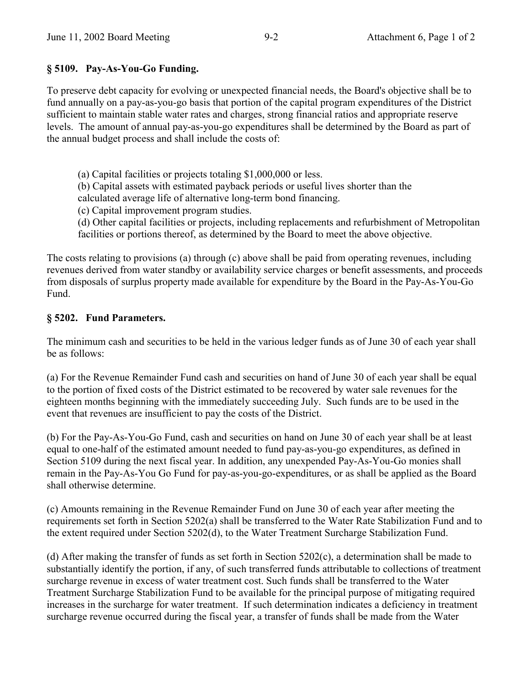# **ß 5109. Pay-As-You-Go Funding.**

To preserve debt capacity for evolving or unexpected financial needs, the Board's objective shall be to fund annually on a pay-as-you-go basis that portion of the capital program expenditures of the District sufficient to maintain stable water rates and charges, strong financial ratios and appropriate reserve levels. The amount of annual pay-as-you-go expenditures shall be determined by the Board as part of the annual budget process and shall include the costs of:

(a) Capital facilities or projects totaling \$1,000,000 or less.

(b) Capital assets with estimated payback periods or useful lives shorter than the

calculated average life of alternative long-term bond financing.

(c) Capital improvement program studies.

(d) Other capital facilities or projects, including replacements and refurbishment of Metropolitan facilities or portions thereof, as determined by the Board to meet the above objective.

The costs relating to provisions (a) through (c) above shall be paid from operating revenues, including revenues derived from water standby or availability service charges or benefit assessments, and proceeds from disposals of surplus property made available for expenditure by the Board in the Pay-As-You-Go Fund.

# **ß 5202. Fund Parameters.**

The minimum cash and securities to be held in the various ledger funds as of June 30 of each year shall be as follows:

(a) For the Revenue Remainder Fund cash and securities on hand of June 30 of each year shall be equal to the portion of fixed costs of the District estimated to be recovered by water sale revenues for the eighteen months beginning with the immediately succeeding July. Such funds are to be used in the event that revenues are insufficient to pay the costs of the District.

(b) For the Pay-As-You-Go Fund, cash and securities on hand on June 30 of each year shall be at least equal to one-half of the estimated amount needed to fund pay-as-you-go expenditures, as defined in Section 5109 during the next fiscal year. In addition, any unexpended Pay-As-You-Go monies shall remain in the Pay-As-You Go Fund for pay-as-you-go-expenditures, or as shall be applied as the Board shall otherwise determine.

(c) Amounts remaining in the Revenue Remainder Fund on June 30 of each year after meeting the requirements set forth in Section 5202(a) shall be transferred to the Water Rate Stabilization Fund and to the extent required under Section 5202(d), to the Water Treatment Surcharge Stabilization Fund.

(d) After making the transfer of funds as set forth in Section 5202(c), a determination shall be made to substantially identify the portion, if any, of such transferred funds attributable to collections of treatment surcharge revenue in excess of water treatment cost. Such funds shall be transferred to the Water Treatment Surcharge Stabilization Fund to be available for the principal purpose of mitigating required increases in the surcharge for water treatment. If such determination indicates a deficiency in treatment surcharge revenue occurred during the fiscal year, a transfer of funds shall be made from the Water